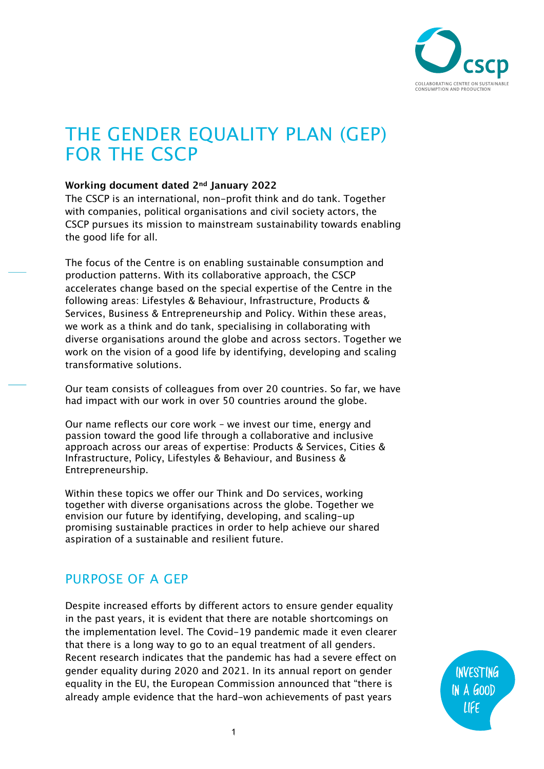

# THE GENDER EQUALITY PLAN (GEP) FOR THE CSCP

#### **Working document dated 2nd January 2022**

The CSCP is an international, non-profit think and do tank. Together with companies, political organisations and civil society actors, the CSCP pursues its mission to mainstream sustainability towards enabling the good life for all.

The focus of the Centre is on enabling sustainable consumption and production patterns. With its collaborative approach, the CSCP accelerates change based on the special expertise of the Centre in the following areas: Lifestyles & Behaviour, Infrastructure, Products & Services, Business & Entrepreneurship and Policy. Within these areas, we work as a think and do tank, specialising in collaborating with diverse organisations around the globe and across sectors. Together we work on the vision of a good life by identifying, developing and scaling transformative solutions.

Our team consists of colleagues from over 20 countries. So far, we have had impact with our work in over 50 countries around the globe.

Our name reflects our core work – we invest our time, energy and passion toward the good life through a collaborative and inclusive approach across our areas of expertise: Products & Services, Cities & Infrastructure, Policy, Lifestyles & Behaviour, and Business & Entrepreneurship.

Within these topics we offer our Think and Do services, working together with diverse organisations across the globe. Together we envision our future by identifying, developing, and scaling-up promising sustainable practices in order to help achieve our shared aspiration of a sustainable and resilient future.

## PURPOSE OF A GEP

Despite increased efforts by different actors to ensure gender equality in the past years, it is evident that there are notable shortcomings on the implementation level. The Covid-19 pandemic made it even clearer that there is a long way to go to an equal treatment of all genders. Recent research indicates that the pandemic has had a severe effect on gender equality during 2020 and 2021. In its annual report on gender equality in the EU, the European Commission announced that "there is already ample evidence that the hard-won achievements of past years

INVESTING IN A GOOD LIFE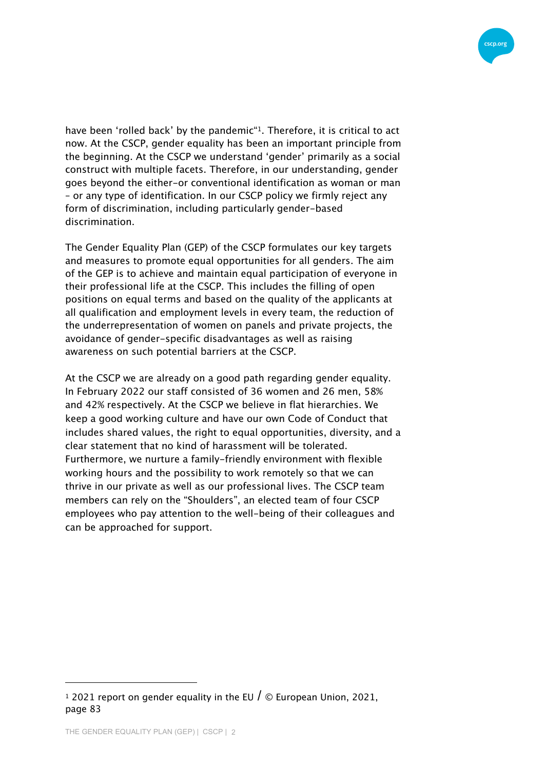

have been 'rolled back' by the pandemic<sup>\*1</sup>. Therefore, it is critical to act now. At the CSCP, gender equality has been an important principle from the beginning. At the CSCP we understand 'gender' primarily as a social construct with multiple facets. Therefore, in our understanding, gender goes beyond the either-or conventional identification as woman or man – or any type of identification. In our CSCP policy we firmly reject any form of discrimination, including particularly gender-based discrimination.

The Gender Equality Plan (GEP) of the CSCP formulates our key targets and measures to promote equal opportunities for all genders. The aim of the GEP is to achieve and maintain equal participation of everyone in their professional life at the CSCP. This includes the filling of open positions on equal terms and based on the quality of the applicants at all qualification and employment levels in every team, the reduction of the underrepresentation of women on panels and private projects, the avoidance of gender-specific disadvantages as well as raising awareness on such potential barriers at the CSCP.

At the CSCP we are already on a good path regarding gender equality. In February 2022 our staff consisted of 36 women and 26 men, 58% and 42% respectively. At the CSCP we believe in flat hierarchies. We keep a good working culture and have our own Code of Conduct that includes shared values, the right to equal opportunities, diversity, and a clear statement that no kind of harassment will be tolerated. Furthermore, we nurture a family-friendly environment with flexible working hours and the possibility to work remotely so that we can thrive in our private as well as our professional lives. The CSCP team members can rely on the "Shoulders", an elected team of four CSCP employees who pay attention to the well-being of their colleagues and can be approached for support.

<sup>&</sup>lt;sup>1</sup> 2021 report on gender equality in the EU  $\overline{I}$  © European Union, 2021, page 83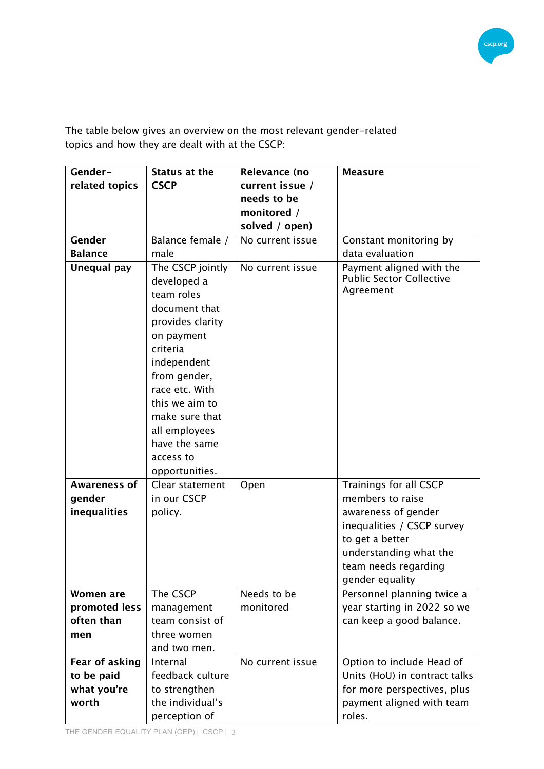

The table below gives an overview on the most relevant gender-related topics and how they are dealt with at the CSCP:

| Gender-             | Status at the                                                                                                                                                                                                                                                      | Relevance (no    | <b>Measure</b>                                                           |
|---------------------|--------------------------------------------------------------------------------------------------------------------------------------------------------------------------------------------------------------------------------------------------------------------|------------------|--------------------------------------------------------------------------|
| related topics      | <b>CSCP</b>                                                                                                                                                                                                                                                        | current issue /  |                                                                          |
|                     |                                                                                                                                                                                                                                                                    | needs to be      |                                                                          |
|                     |                                                                                                                                                                                                                                                                    | monitored /      |                                                                          |
|                     |                                                                                                                                                                                                                                                                    | solved / open)   |                                                                          |
| Gender              | Balance female /                                                                                                                                                                                                                                                   | No current issue | Constant monitoring by                                                   |
| <b>Balance</b>      | male                                                                                                                                                                                                                                                               |                  | data evaluation                                                          |
| Unequal pay         | The CSCP jointly<br>developed a<br>team roles<br>document that<br>provides clarity<br>on payment<br>criteria<br>independent<br>from gender,<br>race etc. With<br>this we aim to<br>make sure that<br>all employees<br>have the same<br>access to<br>opportunities. | No current issue | Payment aligned with the<br><b>Public Sector Collective</b><br>Agreement |
| <b>Awareness of</b> | Clear statement                                                                                                                                                                                                                                                    | Open             | Trainings for all CSCP                                                   |
| gender              | in our CSCP                                                                                                                                                                                                                                                        |                  | members to raise                                                         |
| inequalities        | policy.                                                                                                                                                                                                                                                            |                  | awareness of gender                                                      |
|                     |                                                                                                                                                                                                                                                                    |                  | inequalities / CSCP survey                                               |
|                     |                                                                                                                                                                                                                                                                    |                  | to get a better                                                          |
|                     |                                                                                                                                                                                                                                                                    |                  | understanding what the                                                   |
|                     |                                                                                                                                                                                                                                                                    |                  | team needs regarding                                                     |
|                     |                                                                                                                                                                                                                                                                    |                  | gender equality                                                          |
| Women are           | The CSCP                                                                                                                                                                                                                                                           | Needs to be      | Personnel planning twice a                                               |
| promoted less       | management                                                                                                                                                                                                                                                         | monitored        | year starting in 2022 so we                                              |
| often than          | team consist of                                                                                                                                                                                                                                                    |                  | can keep a good balance.                                                 |
| men                 | three women                                                                                                                                                                                                                                                        |                  |                                                                          |
|                     | and two men.                                                                                                                                                                                                                                                       |                  |                                                                          |
| Fear of asking      | Internal                                                                                                                                                                                                                                                           | No current issue | Option to include Head of                                                |
| to be paid          | feedback culture                                                                                                                                                                                                                                                   |                  | Units (HoU) in contract talks                                            |
| what you're         | to strengthen                                                                                                                                                                                                                                                      |                  | for more perspectives, plus                                              |
| worth               | the individual's                                                                                                                                                                                                                                                   |                  | payment aligned with team                                                |
|                     | perception of                                                                                                                                                                                                                                                      |                  | roles.                                                                   |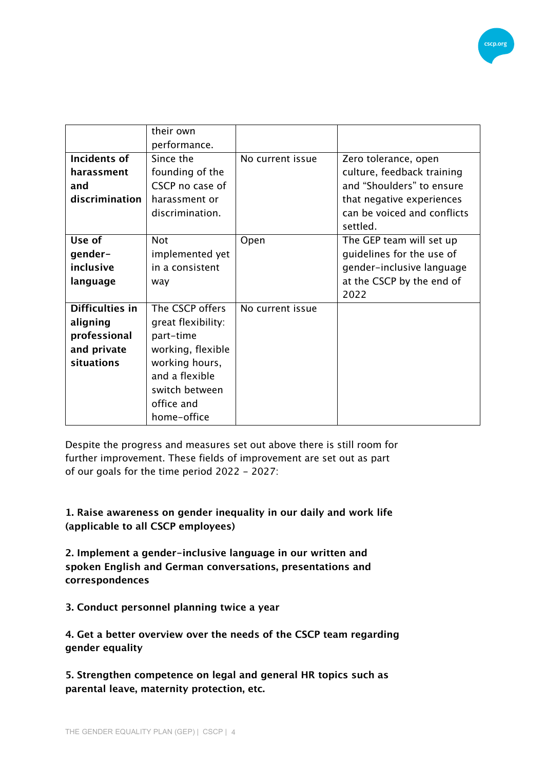

|                        | their own          |                  |                             |
|------------------------|--------------------|------------------|-----------------------------|
|                        | performance.       |                  |                             |
| <b>Incidents of</b>    | Since the          | No current issue | Zero tolerance, open        |
| harassment             | founding of the    |                  | culture, feedback training  |
| and                    | CSCP no case of    |                  | and "Shoulders" to ensure   |
| discrimination         | harassment or      |                  | that negative experiences   |
|                        | discrimination.    |                  | can be voiced and conflicts |
|                        |                    |                  | settled.                    |
| Use of                 | <b>Not</b>         | Open             | The GEP team will set up    |
| gender-                | implemented yet    |                  | guidelines for the use of   |
| inclusive              | in a consistent    |                  | gender-inclusive language   |
| language               | way                |                  | at the CSCP by the end of   |
|                        |                    |                  | 2022                        |
| <b>Difficulties in</b> | The CSCP offers    | No current issue |                             |
| aligning               | great flexibility: |                  |                             |
| professional           | part-time          |                  |                             |
| and private            | working, flexible  |                  |                             |
| situations             | working hours,     |                  |                             |
|                        | and a flexible     |                  |                             |
|                        | switch between     |                  |                             |
|                        | office and         |                  |                             |
|                        | home-office        |                  |                             |

Despite the progress and measures set out above there is still room for further improvement. These fields of improvement are set out as part of our goals for the time period 2022 - 2027:

**1. Raise awareness on gender inequality in our daily and work life (applicable to all CSCP employees)**

**2. Implement a gender-inclusive language in our written and spoken English and German conversations, presentations and correspondences**

**3. Conduct personnel planning twice a year**

**4. Get a better overview over the needs of the CSCP team regarding gender equality**

**5. Strengthen competence on legal and general HR topics such as parental leave, maternity protection, etc.**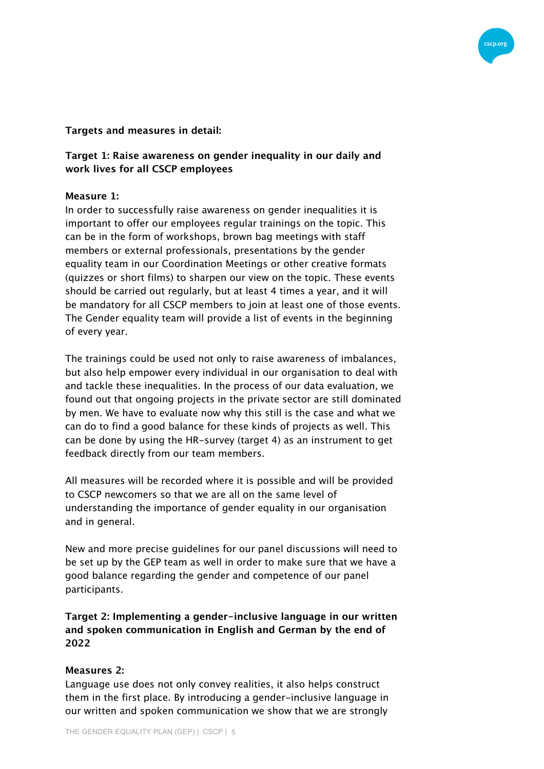

#### **Targets and measures in detail:**

## **Target 1: Raise awareness on gender inequality in our daily and work lives for all CSCP employees**

#### **Measure 1:**

In order to successfully raise awareness on gender inequalities it is important to offer our employees regular trainings on the topic. This can be in the form of workshops, brown bag meetings with staff members or external professionals, presentations by the gender equality team in our Coordination Meetings or other creative formats (quizzes or short films) to sharpen our view on the topic. These events should be carried out regularly, but at least 4 times a year, and it will be mandatory for all CSCP members to join at least one of those events. The Gender equality team will provide a list of events in the beginning of every year.

The trainings could be used not only to raise awareness of imbalances, but also help empower every individual in our organisation to deal with and tackle these inequalities. In the process of our data evaluation, we found out that ongoing projects in the private sector are still dominated by men. We have to evaluate now why this still is the case and what we can do to find a good balance for these kinds of projects as well. This can be done by using the HR-survey (target 4) as an instrument to get feedback directly from our team members.

All measures will be recorded where it is possible and will be provided to CSCP newcomers so that we are all on the same level of understanding the importance of gender equality in our organisation and in general.

New and more precise guidelines for our panel discussions will need to be set up by the GEP team as well in order to make sure that we have a good balance regarding the gender and competence of our panel participants.

**Target 2: Implementing a gender-inclusive language in our written and spoken communication in English and German by the end of 2022**

## **Measures 2:**

Language use does not only convey realities, it also helps construct them in the first place. By introducing a gender-inclusive language in our written and spoken communication we show that we are strongly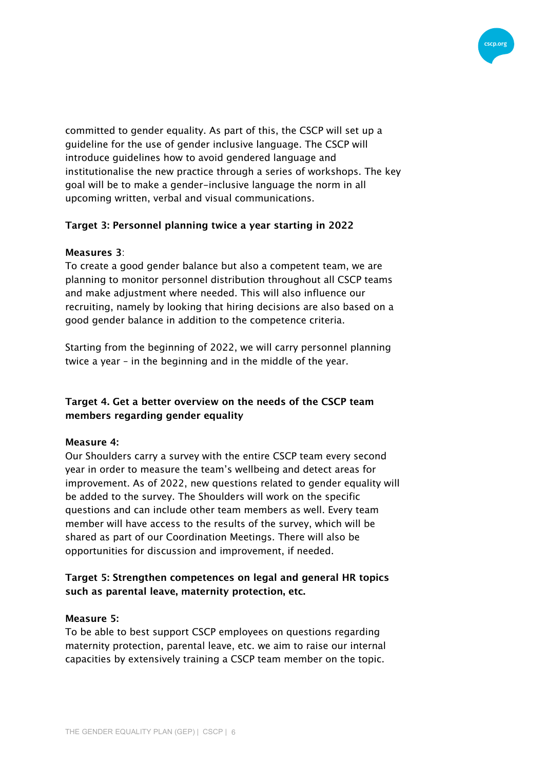

committed to gender equality. As part of this, the CSCP will set up a guideline for the use of gender inclusive language. The CSCP will introduce guidelines how to avoid gendered language and institutionalise the new practice through a series of workshops. The key goal will be to make a gender-inclusive language the norm in all upcoming written, verbal and visual communications.

#### **Target 3: Personnel planning twice a year starting in 2022**

#### **Measures 3**:

To create a good gender balance but also a competent team, we are planning to monitor personnel distribution throughout all CSCP teams and make adjustment where needed. This will also influence our recruiting, namely by looking that hiring decisions are also based on a good gender balance in addition to the competence criteria.

Starting from the beginning of 2022, we will carry personnel planning twice a year – in the beginning and in the middle of the year.

## **Target 4. Get a better overview on the needs of the CSCP team members regarding gender equality**

#### **Measure 4:**

Our Shoulders carry a survey with the entire CSCP team every second year in order to measure the team's wellbeing and detect areas for improvement. As of 2022, new questions related to gender equality will be added to the survey. The Shoulders will work on the specific questions and can include other team members as well. Every team member will have access to the results of the survey, which will be shared as part of our Coordination Meetings. There will also be opportunities for discussion and improvement, if needed.

## **Target 5: Strengthen competences on legal and general HR topics such as parental leave, maternity protection, etc.**

#### **Measure 5:**

To be able to best support CSCP employees on questions regarding maternity protection, parental leave, etc. we aim to raise our internal capacities by extensively training a CSCP team member on the topic.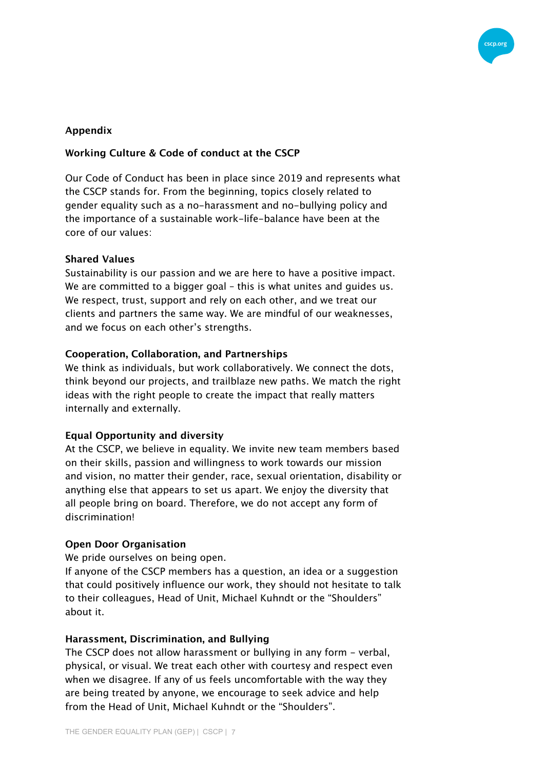

## **Appendix**

## **Working Culture & Code of conduct at the CSCP**

Our Code of Conduct has been in place since 2019 and represents what the CSCP stands for. From the beginning, topics closely related to gender equality such as a no-harassment and no-bullying policy and the importance of a sustainable work-life-balance have been at the core of our values:

#### **Shared Values**

Sustainability is our passion and we are here to have a positive impact. We are committed to a bigger goal – this is what unites and guides us. We respect, trust, support and rely on each other, and we treat our clients and partners the same way. We are mindful of our weaknesses, and we focus on each other's strengths.

#### **Cooperation, Collaboration, and Partnerships**

We think as individuals, but work collaboratively. We connect the dots, think beyond our projects, and trailblaze new paths. We match the right ideas with the right people to create the impact that really matters internally and externally.

## **Equal Opportunity and diversity**

At the CSCP, we believe in equality. We invite new team members based on their skills, passion and willingness to work towards our mission and vision, no matter their gender, race, sexual orientation, disability or anything else that appears to set us apart. We enjoy the diversity that all people bring on board. Therefore, we do not accept any form of discrimination!

## **Open Door Organisation**

We pride ourselves on being open.

If anyone of the CSCP members has a question, an idea or a suggestion that could positively influence our work, they should not hesitate to talk to their colleagues, Head of Unit, Michael Kuhndt or the "Shoulders" about it.

#### **Harassment, Discrimination, and Bullying**

The CSCP does not allow harassment or bullying in any form - verbal, physical, or visual. We treat each other with courtesy and respect even when we disagree. If any of us feels uncomfortable with the way they are being treated by anyone, we encourage to seek advice and help from the Head of Unit, Michael Kuhndt or the "Shoulders".